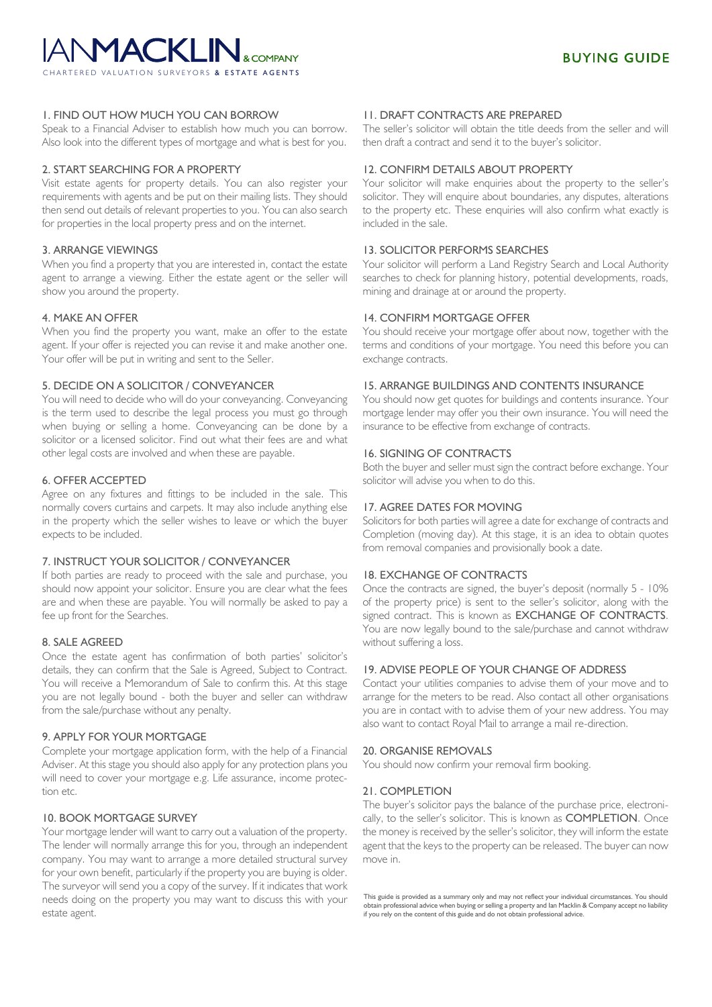# **ANMACKLIN.** CHARTERED VALUATION SURVEYORS **& ESTATE AGENTS**

# 1. FIND OUT HOW MUCH YOU CAN BORROW

Speak to a Financial Adviser to establish how much you can borrow. Also look into the different types of mortgage and what is best for you.

# 2. START SEARCHING FOR A PROPERTY

Visit estate agents for property details. You can also register your requirements with agents and be put on their mailing lists. They should then send out details of relevant properties to you. You can also search for properties in the local property press and on the internet.

# 3. ARRANGE VIEWINGS

When you find a property that you are interested in, contact the estate agent to arrange a viewing. Either the estate agent or the seller will show you around the property.

# 4. MAKE AN OFFER

When you find the property you want, make an offer to the estate agent. If your offer is rejected you can revise it and make another one. Your offer will be put in writing and sent to the Seller.

# 5. DECIDE ON A SOLICITOR / CONVEYANCER

You will need to decide who will do your conveyancing. Conveyancing is the term used to describe the legal process you must go through when buying or selling a home. Conveyancing can be done by a solicitor or a licensed solicitor. Find out what their fees are and what other legal costs are involved and when these are payable.

# 6. OFFER ACCEPTED

Agree on any fixtures and fittings to be included in the sale. This normally covers curtains and carpets. It may also include anything else in the property which the seller wishes to leave or which the buyer expects to be included.

# 7. INSTRUCT YOUR SOLICITOR / CONVEYANCER

If both parties are ready to proceed with the sale and purchase, you should now appoint your solicitor. Ensure you are clear what the fees are and when these are payable. You will normally be asked to pay a fee up front for the Searches.

# 8. SALE AGREED

Once the estate agent has confirmation of both parties' solicitor's details, they can confirm that the Sale is Agreed, Subject to Contract. You will receive a Memorandum of Sale to confirm this. At this stage you are not legally bound - both the buyer and seller can withdraw from the sale/purchase without any penalty.

# 9. APPLY FOR YOUR MORTGAGE

Complete your mortgage application form, with the help of a Financial Adviser. At this stage you should also apply for any protection plans you will need to cover your mortgage e.g. Life assurance, income protection etc.

# 10. BOOK MORTGAGE SURVEY

Your mortgage lender will want to carry out a valuation of the property. The lender will normally arrange this for you, through an independent company. You may want to arrange a more detailed structural survey for your own benefit, particularly if the property you are buying is older. The surveyor will send you a copy of the survey. If it indicates that work needs doing on the property you may want to discuss this with your estate agent.

# 11. DRAFT CONTRACTS ARE PREPARED

The seller's solicitor will obtain the title deeds from the seller and will then draft a contract and send it to the buyer's solicitor.

# 12. CONFIRM DETAILS ABOUT PROPERTY

Your solicitor will make enquiries about the property to the seller's solicitor. They will enquire about boundaries, any disputes, alterations to the property etc. These enquiries will also confirm what exactly is included in the sale.

# 13. SOLICITOR PERFORMS SEARCHES

Your solicitor will perform a Land Registry Search and Local Authority searches to check for planning history, potential developments, roads, mining and drainage at or around the property.

# 14. CONFIRM MORTGAGE OFFER

You should receive your mortgage offer about now, together with the terms and conditions of your mortgage. You need this before you can exchange contracts.

# 15. ARRANGE BUILDINGS AND CONTENTS INSURANCE

You should now get quotes for buildings and contents insurance. Your mortgage lender may offer you their own insurance. You will need the insurance to be effective from exchange of contracts.

# 16. SIGNING OF CONTRACTS

Both the buyer and seller must sign the contract before exchange. Your solicitor will advise you when to do this.

# 17. AGREE DATES FOR MOVING

Solicitors for both parties will agree a date for exchange of contracts and Completion (moving day). At this stage, it is an idea to obtain quotes from removal companies and provisionally book a date.

# 18. EXCHANGE OF CONTRACTS

Once the contracts are signed, the buyer's deposit (normally 5 - 10% of the property price) is sent to the seller's solicitor, along with the signed contract. This is known as **EXCHANGE OF CONTRACTS**. You are now legally bound to the sale/purchase and cannot withdraw without suffering a loss.

# 19. ADVISE PEOPLE OF YOUR CHANGE OF ADDRESS

Contact your utilities companies to advise them of your move and to arrange for the meters to be read. Also contact all other organisations you are in contact with to advise them of your new address. You may also want to contact Royal Mail to arrange a mail re-direction.

# 20. ORGANISE REMOVALS

You should now confirm your removal firm booking.

# 21. COMPLETION

The buyer's solicitor pays the balance of the purchase price, electronically, to the seller's solicitor. This is known as **COMPLETION**. Once the money is received by the seller's solicitor, they will inform the estate agent that the keys to the property can be released. The buyer can now move in.

This guide is provided as a summary only and may not reflect your individual circumstances. You should obtain professional advice when buying or selling a property and Ian Macklin & Company accept no liability if you rely on the content of this guide and do not obtain professional advice.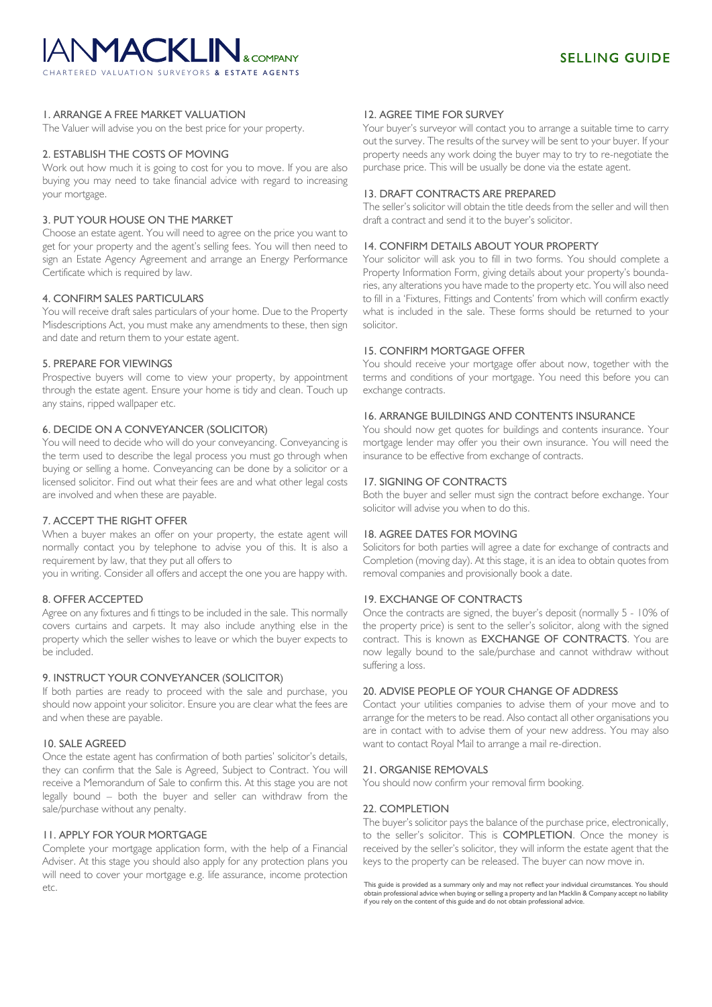# **ANMACKLIN.** C E C TATE A C ENTS

# 1. ARRANGE A FREE MARKET VALUATION

The Valuer will advise you on the best price for your property.

#### 2. ESTABLISH THE COSTS OF MOVING

Work out how much it is going to cost for you to move. If you are also buying you may need to take financial advice with regard to increasing your mortgage.

# 3. PUT YOUR HOUSE ON THE MARKET

Choose an estate agent. You will need to agree on the price you want to get for your property and the agent's selling fees. You will then need to sign an Estate Agency Agreement and arrange an Energy Performance Certificate which is required by law.

#### 4. CONFIRM SALES PARTICULARS

You will receive draft sales particulars of your home. Due to the Property Misdescriptions Act, you must make any amendments to these, then sign and date and return them to your estate agent.

#### 5. PREPARE FOR VIEWINGS

Prospective buyers will come to view your property, by appointment through the estate agent. Ensure your home is tidy and clean. Touch up any stains, ripped wallpaper etc.

#### 6. DECIDE ON A CONVEYANCER (SOLICITOR)

You will need to decide who will do your conveyancing. Conveyancing is the term used to describe the legal process you must go through when buying or selling a home. Conveyancing can be done by a solicitor or a licensed solicitor. Find out what their fees are and what other legal costs are involved and when these are payable.

#### 7. ACCEPT THE RIGHT OFFER

When a buyer makes an offer on your property, the estate agent will normally contact you by telephone to advise you of this. It is also a requirement by law, that they put all offers to

you in writing. Consider all offers and accept the one you are happy with.

#### 8. OFFER ACCEPTED

Agree on any fixtures and fi ttings to be included in the sale. This normally covers curtains and carpets. It may also include anything else in the property which the seller wishes to leave or which the buyer expects to be included.

#### 9. INSTRUCT YOUR CONVEYANCER (SOLICITOR)

If both parties are ready to proceed with the sale and purchase, you should now appoint your solicitor. Ensure you are clear what the fees are and when these are payable.

#### 10. SALE AGREED

Once the estate agent has confirmation of both parties' solicitor's details, they can confirm that the Sale is Agreed, Subject to Contract. You will receive a Memorandum of Sale to confirm this. At this stage you are not legally bound – both the buyer and seller can withdraw from the sale/purchase without any penalty.

# 11. APPLY FOR YOUR MORTGAGE

Complete your mortgage application form, with the help of a Financial Adviser. At this stage you should also apply for any protection plans you will need to cover your mortgage e.g. life assurance, income protection etc.

#### 12. AGREE TIME FOR SURVEY

Your buyer's surveyor will contact you to arrange a suitable time to carry out the survey. The results of the survey will be sent to your buyer. If your property needs any work doing the buyer may to try to re-negotiate the purchase price. This will be usually be done via the estate agent.

#### 13. DRAFT CONTRACTS ARE PREPARED

The seller's solicitor will obtain the title deeds from the seller and will then draft a contract and send it to the buyer's solicitor.

# 14. CONFIRM DETAILS ABOUT YOUR PROPERTY

Your solicitor will ask you to fill in two forms. You should complete a Property Information Form, giving details about your property's boundaries, any alterations you have made to the property etc. You will also need to fill in a 'Fixtures, Fittings and Contents' from which will confirm exactly what is included in the sale. These forms should be returned to your solicitor.

#### 15. CONFIRM MORTGAGE OFFER

You should receive your mortgage offer about now, together with the terms and conditions of your mortgage. You need this before you can exchange contracts.

#### 16. ARRANGE BUILDINGS AND CONTENTS INSURANCE

You should now get quotes for buildings and contents insurance. Your mortgage lender may offer you their own insurance. You will need the insurance to be effective from exchange of contracts.

# 17. SIGNING OF CONTRACTS

Both the buyer and seller must sign the contract before exchange. Your solicitor will advise you when to do this.

#### 18. AGREE DATES FOR MOVING

Solicitors for both parties will agree a date for exchange of contracts and Completion (moving day). At this stage, it is an idea to obtain quotes from removal companies and provisionally book a date.

#### 19. EXCHANGE OF CONTRACTS

Once the contracts are signed, the buyer's deposit (normally 5 - 10% of the property price) is sent to the seller's solicitor, along with the signed contract. This is known as EXCHANGE OF CONTRACTS. You are now legally bound to the sale/purchase and cannot withdraw without suffering a loss.

#### 20. ADVISE PEOPLE OF YOUR CHANGE OF ADDRESS

Contact your utilities companies to advise them of your move and to arrange for the meters to be read. Also contact all other organisations you are in contact with to advise them of your new address. You may also want to contact Royal Mail to arrange a mail re-direction.

#### 21. ORGANISE REMOVALS

You should now confirm your removal firm booking.

#### 22. COMPLETION

The buyer's solicitor pays the balance of the purchase price, electronically, to the seller's solicitor. This is COMPLETION. Once the money is received by the seller's solicitor, they will inform the estate agent that the keys to the property can be released. The buyer can now move in.

This guide is provided as a summary only and may not reflect your individual circumstances. You should obtain professional advice when buying or selling a property and Ian Macklin & Company accept no liability if you rely on the content of this guide and do not obtain professional advice.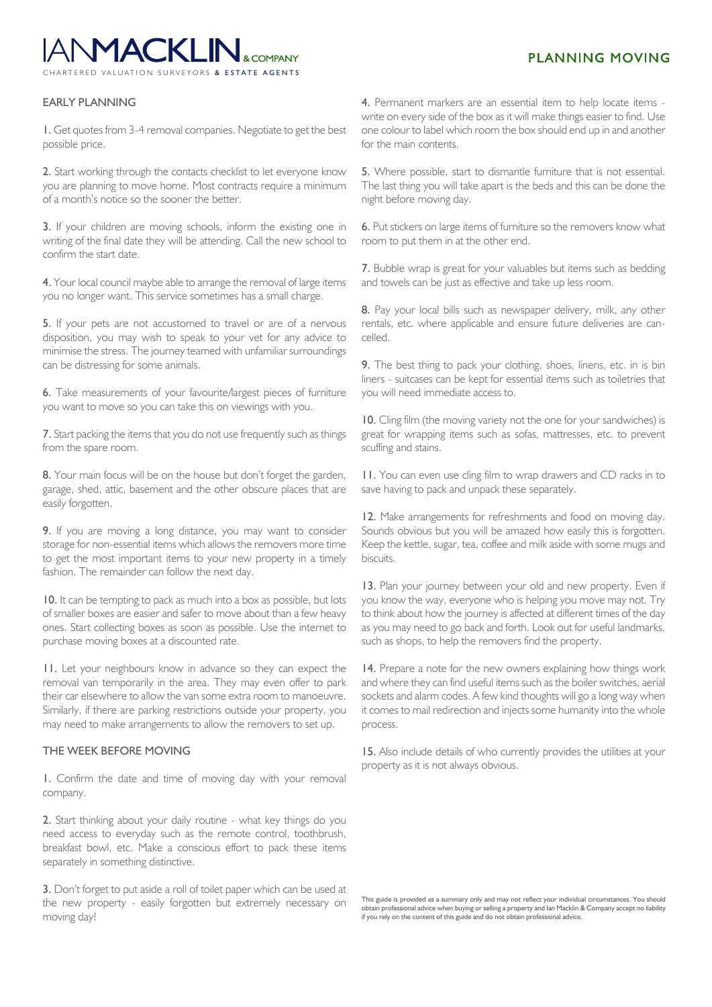# **IANMACKLIN,** CHARTERED VALUATION SURVEYORS **& ESTATE AGENTS**

# **PLANNING MOVING**

# EARLY PLANNING

1. Get quotes from 3-4 removal companies. Negotiate to get the best possible price.

2. Start working through the contacts checklist to let everyone know you are planning to move home. Most contracts require a minimum of a month's notice so the sooner the better.

3. If your children are moving schools, inform the existing one in writing of the final date they will be attending. Call the new school to confirm the start date.

4. Your local council maybe able to arrange the removal of large items you no longer want. This service sometimes has a small charge.

5. If your pets are not accustomed to travel or are of a nervous disposition, you may wish to speak to your vet for any advice to minimise the stress. The journey teamed with unfamiliar surroundings can be distressing for some animals.

6. Take measurements of your favourite/largest pieces of furniture you want to move so you can take this on viewings with you.

7. Start packing the items that you do not use frequently such as things from the spare room.

8. Your main focus will be on the house but don't forget the garden, garage, shed, attic, basement and the other obscure places that are easily forgotten.

9. If you are moving a long distance, you may want to consider storage for non-essential items which allows the removers more time to get the most important items to your new property in a timely fashion. The remainder can follow the next day.

10. It can be tempting to pack as much into a box as possible, but lots of smaller boxes are easier and safer to move about than a few heavy ones. Start collecting boxes as soon as possible. Use the internet to purchase moving boxes at a discounted rate.

11. Let your neighbours know in advance so they can expect the removal van temporarily in the area. They may even offer to park their car elsewhere to allow the van some extra room to manoeuvre. Similarly, if there are parking restrictions outside your property, you may need to make arrangements to allow the removers to set up.

#### THE WEEK BEFORE MOVING

1. Confirm the date and time of moving day with your removal company.

2. Start thinking about your daily routine - what key things do you need access to everyday such as the remote control, toothbrush, breakfast bowl, etc. Make a conscious effort to pack these items separately in something distinctive.

3. Don't forget to put aside a roll of toilet paper which can be used at the new property - easily forgotten but extremely necessary on moving day!

4. Permanent markers are an essential item to help locate items write on every side of the box as it will make things easier to find. Use one colour to label which room the box should end up in and another for the main contents.

5. Where possible, start to dismantle furniture that is not essential. The last thing you will take apart is the beds and this can be done the night before moving day.

6. Put stickers on large items of furniture so the removers know what room to put them in at the other end.

7. Bubble wrap is great for your valuables but items such as bedding and towels can be just as effective and take up less room.

8. Pay your local bills such as newspaper delivery, milk, any other rentals, etc. where applicable and ensure future deliveries are cancelled.

9. The best thing to pack your clothing, shoes, linens, etc. in is bin liners - suitcases can be kept for essential items such as toiletries that you will need immediate access to.

10. Cling film (the moving variety not the one for your sandwiches) is great for wrapping items such as sofas, mattresses, etc. to prevent scuffing and stains.

11. You can even use cling film to wrap drawers and CD racks in to save having to pack and unpack these separately.

12. Make arrangements for refreshments and food on moving day. Sounds obvious but you will be amazed how easily this is forgotten. Keep the kettle, sugar, tea, coffee and milk aside with some mugs and biscuits.

13. Plan your journey between your old and new property. Even if you know the way, everyone who is helping you move may not. Try to think about how the journey is affected at different times of the day as you may need to go back and forth. Look out for useful landmarks, such as shops, to help the removers find the property.

14. Prepare a note for the new owners explaining how things work and where they can find useful items such as the boiler switches, aerial sockets and alarm codes. A few kind thoughts will go a long way when it comes to mail redirection and injects some humanity into the whole process.

15. Also include details of who currently provides the utilities at your property as it is not always obvious.

This guide is provided as a summary only and may not reflect your individual circumstances. You should<br>obtain professional advice when buying or selling a property and lan Macklin & Company accept no liability<br>if you rely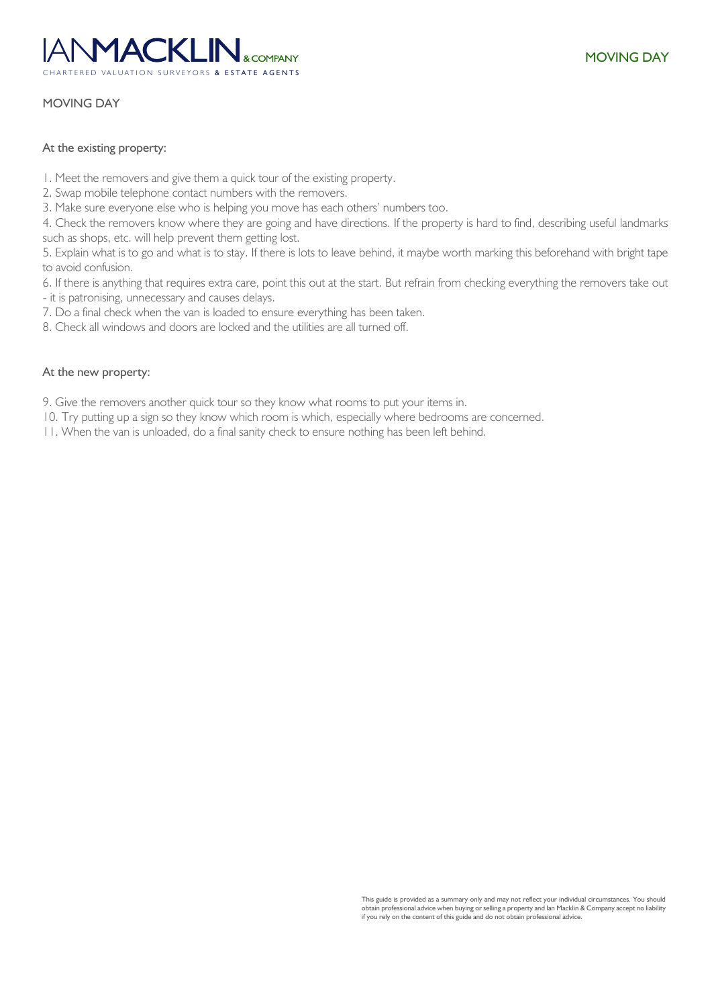# ANM**ACKLIN**. C A R A R E A L U A D E S U R E S U R E S U R E S U R E S U T A C E S U T C

# MOVING DAY

# At the existing property:

- 1. Meet the removers and give them a quick tour of the existing property.
- 2. Swap mobile telephone contact numbers with the removers.
- 3. Make sure everyone else who is helping you move has each others' numbers too.

4. Check the removers know where they are going and have directions. If the property is hard to find, describing useful landmarks such as shops, etc. will help prevent them getting lost.

5. Explain what is to go and what is to stay. If there is lots to leave behind, it maybe worth marking this beforehand with bright tape to avoid confusion.

6. If there is anything that requires extra care, point this out at the start. But refrain from checking everything the removers take out

- it is patronising, unnecessary and causes delays.

- 7. Do a final check when the van is loaded to ensure everything has been taken.
- 8. Check all windows and doors are locked and the utilities are all turned off.

# At the new property:

9. Give the removers another quick tour so they know what rooms to put your items in.

10. Try putting up a sign so they know which room is which, especially where bedrooms are concerned.

11. When the van is unloaded, do a final sanity check to ensure nothing has been left behind.